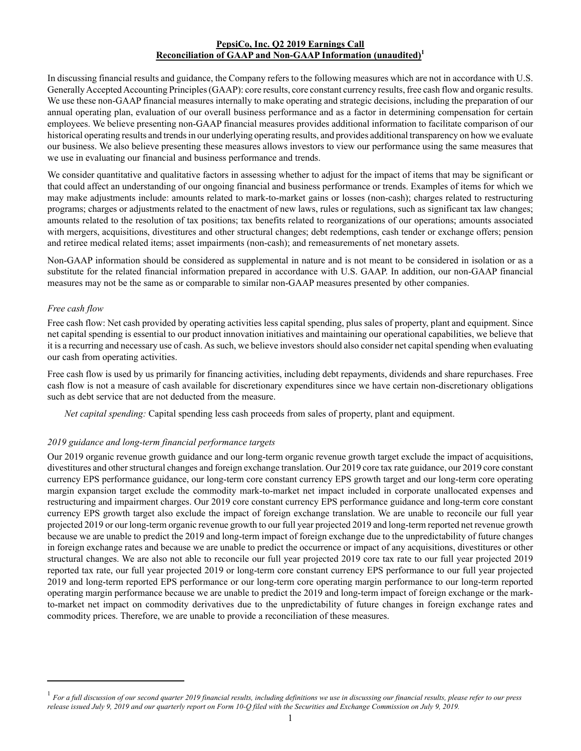## **PepsiCo, Inc. Q2 2019 Earnings Call Reconciliation of GAAP and Non-GAAP Information (unaudited)<sup>1</sup>**

In discussing financial results and guidance, the Company refers to the following measures which are not in accordance with U.S. Generally Accepted Accounting Principles (GAAP): core results, core constant currency results, free cash flow and organic results. We use these non-GAAP financial measures internally to make operating and strategic decisions, including the preparation of our annual operating plan, evaluation of our overall business performance and as a factor in determining compensation for certain employees. We believe presenting non-GAAPfinancial measures provides additional information to facilitate comparison of our historical operating results and trends in our underlying operating results, and provides additional transparency on how we evaluate our business. We also believe presenting these measures allows investors to view our performance using the same measures that we use in evaluating our financial and business performance and trends.

We consider quantitative and qualitative factors in assessing whether to adjust for the impact of items that may be significant or that could affect an understanding of our ongoing financial and business performance or trends. Examples of items for which we may make adjustments include: amounts related to mark-to-market gains or losses (non-cash); charges related to restructuring programs; charges or adjustments related to the enactment of new laws, rules or regulations, such as significant tax law changes; amounts related to the resolution of tax positions; tax benefits related to reorganizations of our operations; amounts associated with mergers, acquisitions, divestitures and other structural changes; debt redemptions, cash tender or exchange offers; pension and retiree medical related items; asset impairments (non-cash); and remeasurements of net monetary assets.

Non-GAAP information should be considered as supplemental in nature and is not meant to be considered in isolation or as a substitute for the related financial information prepared in accordance with U.S. GAAP. In addition, our non-GAAP financial measures may not be the same as or comparable to similar non-GAAP measures presented by other companies.

## *Free cash flow*

Free cash flow: Net cash provided by operating activities less capital spending, plus sales of property, plant and equipment. Since net capital spending is essential to our product innovation initiatives and maintaining our operational capabilities, we believe that it is a recurring and necessary use of cash. As such, we believe investors should also consider net capital spending when evaluating our cash from operating activities.

Free cash flow is used by us primarily for financing activities, including debt repayments, dividends and share repurchases. Free cash flow is not a measure of cash available for discretionary expenditures since we have certain non-discretionary obligations such as debt service that are not deducted from the measure.

*Net capital spending:* Capital spending less cash proceeds from sales of property, plant and equipment.

## *2019 guidance and long-term financial performance targets*

Our 2019 organic revenue growth guidance and our long-term organic revenue growth target exclude the impact of acquisitions, divestitures and other structural changes and foreign exchange translation. Our 2019 core tax rate guidance, our 2019 core constant currency EPS performance guidance, our long-term core constant currency EPS growth target and our long-term core operating margin expansion target exclude the commodity mark-to-market net impact included in corporate unallocated expenses and restructuring and impairment charges. Our 2019 core constant currency EPS performance guidance and long-term core constant currency EPS growth target also exclude the impact of foreign exchange translation. We are unable to reconcile our full year projected 2019 or our long-term organic revenue growth to our full year projected 2019 and long-term reported net revenue growth because we are unable to predict the 2019 and long-term impact of foreign exchange due to the unpredictability of future changes in foreign exchange rates and because we are unable to predict the occurrence or impact of any acquisitions, divestitures or other structural changes. We are also not able to reconcile our full year projected 2019 core tax rate to our full year projected 2019 reported tax rate, our full year projected 2019 or long-term core constant currency EPS performance to our full year projected 2019 and long-term reported EPS performance or our long-term core operating margin performance to our long-term reported operating margin performance because we are unable to predict the 2019 and long-term impact of foreign exchange or the markto-market net impact on commodity derivatives due to the unpredictability of future changes in foreign exchange rates and commodity prices. Therefore, we are unable to provide a reconciliation of these measures.

<sup>1</sup> For a full discussion of our second quarter 2019 financial results, including definitions we use in discussing our financial results, please refer to our press *release issued July 9, 2019 and our quarterly report on Form 10-Q filed with the Securities and Exchange Commission on July 9, 2019.*